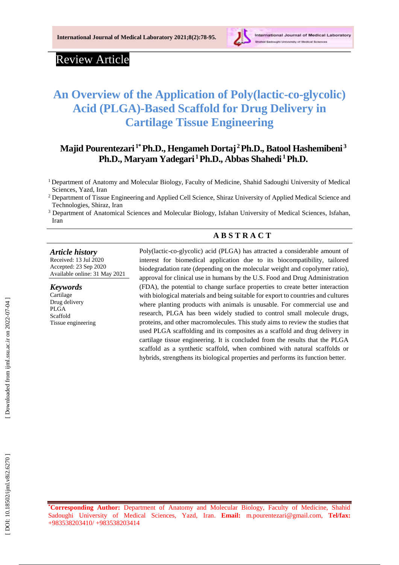

# Review Article

# **An Overview of the Application of Poly(lactic -co -glycolic) Acid (PLGA) -Based Scaffold for Drug Delivery in Cartilage Tissue Engineering**

# **Majid Pourentezari 1\*Ph.D., Hengameh Dortaj <sup>2</sup>Ph.D., Batool Hashemibeni 3 Ph.D., Maryam Yadegari <sup>1</sup>Ph.D., Abbas Shahedi <sup>1</sup>Ph.D.**

<sup>1</sup>Department of Anatomy and Molecular Biology, Faculty of Medicine, Shahid Sadoughi University of Medical Sciences, Yazd, Iran

<sup>2</sup> Department of Tissue Engineering and Applied Cell Science, Shiraz University of Applied Medical Science and Technologies, Shiraz, Iran

<sup>3</sup> Department of Anatomical Sciences and Molecular Biology, Isfahan University of Medical Sciences, Isfahan, Iran

# **A B S T R A C T**

#### *Article history*

Received: 13 Jul 2020 Accepted : 23 Sep 2020 Available online : 3 1 May 20 2 1

#### *Keywords*

Cartilage Drug delivery PLGA Scaffold Tissue engineering

Poly(lactic -co -glycolic) acid (PLGA) has attracted a considerable amount of interest for biomedical application due to its biocompatibility, tailored biodegradation rate (depending on the molecular weight and copolymer ratio), approval for clinical use in humans by the U.S. Food and Drug Administration (FDA), the potential to change surface properties to create better interaction with biological materials and being suitable for export to countries and cultures where planting products with animals is unusable. For commercial use and research, PLGA has been widely studied to control small molecule drugs, proteins, and other macromolecules. This study aims to review the studies that used PLGA scaffolding and its composites as a scaffold and drug delivery in cartilage tissue engineering. It is concluded from the results that the PLGA scaffold as a synthetic scaffold, when combined with natural scaffolds or hybrids, strengthens its biological properties and performs its function better.

**\*Corresponding Author:** Department of Anatomy and Molecular Biology, Faculty of Medicine, Shahid Sadoughi University of Medical Sciences, Yazd, Iran. **Email:** m.pourentezari@gmail.com , **Tel/fax:** [+983538203410/](tel:+983538203410) +983538203414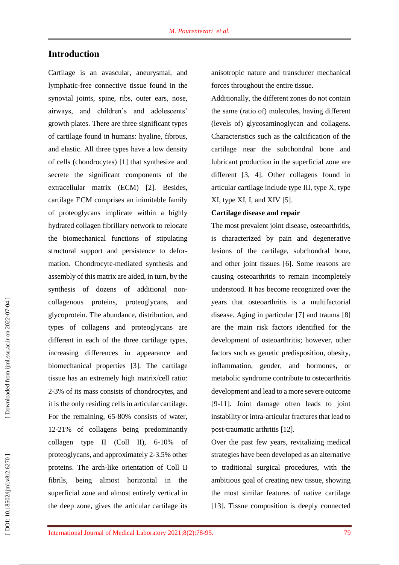# **Introduction**

Cartilage is an avascular, aneurysmal, and lymphatic -free connective tissue found in the synovial joints, spine, ribs, outer ears, nose, airways, and children's and adolescents' growth plates. There are three significant types of cartilage found in humans: hyaline, fibrous, and elastic. All three types have a low density of cells (chondrocytes) [ 1 ] that synthesize and secrete the significant components of the extracellular matrix (ECM) [ 2 ]. Besides, cartilage ECM comprises an inimitable family of proteoglycans implicate within a highly hydrated collagen fibrillary network to relocate the biomechanical functions of stipulating structural support and persistence to defor mation. Chondrocyte -mediated synthesis and assembly of this matrix are aided, in turn, by the synthesis of dozens of additional non collagenous proteins, proteoglycans, and glycoprotein. The abundance, distribution, and types of collagens and proteoglycans are different in each of the three cartilage types, increasing differences in appearance and biomechanical properties [ 3 ]. The cartilage tissue has an extremely high matrix/cell ratio: 2-3% of its mass consists of chondrocytes, and it is the only residing cells in articular cartilage. For the remaining, 65 -80% consists of water, 12 -21% of collagens being predominantly collagen type II (Coll II), 6 -10% of proteoglycans, and approximately 2 -3.5% other proteins. The arch -like orientation of Coll II fibrils, being almost horizontal in the superficial zone and almost entirely vertical in the deep zone, gives the articular cartilage its

anisotropic nature and transducer mechanical forces throughout the entire tissue.

Additionally, the different zones do not contain the same (ratio of) molecules, having different (levels of) glycosaminoglycan and collagens. Characteristics such as the calcification of the cartilage near the subchondral bone and lubricant production in the superficial zone are different [3, 4 ]. Other collagens found in articular cartilage include type III, type X, type XI, type XI, I, and XIV [5].

#### **Cartilage disease and repair**

The most prevalent joint disease, osteoarthritis, is characterized by pain and degenerative lesions of the cartilage, subchondral bone, and other joint tissues [ 6 ]. Some reasons are causing osteoarthritis to remain incompletely understood. It has become recognized over the years that osteoarthritis is a multifactorial disease. Aging in particular [7] and trauma [8] are the main risk factors identified for the development of osteoarthritis; however, other factors such as genetic predisposition, obesity, inflammation, gender, and hormones, or metabolic syndrome contribute to osteoarthritis development and lead to a more severe outcome [9-11]. Joint damage often leads to joint instability or intra -articular fractures that lead to post-traumatic arthritis [12].

Over the past few years, revitalizing medical strategies have been developed as an alternative to traditional surgical procedures, with the ambitious goal of creating new tissue, showing the most similar features of native cartilage [13]. Tissue composition is deeply connected

DOI: 10.18502/ijml.v8i2.6270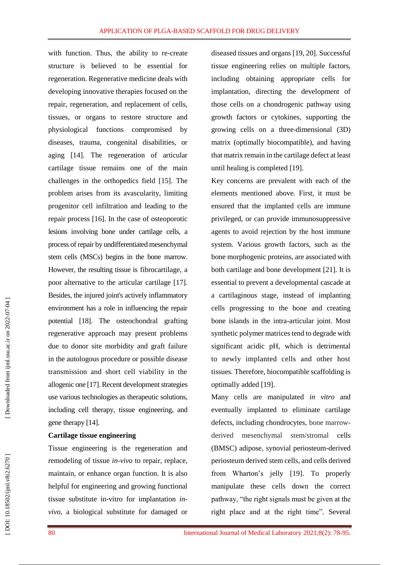with function. Thus, the ability to re -create structure is believed to be essential for regeneration. Regenerative medicine deals with developing innovative therapies focused on the repair, regeneration, and replacement of cells, tissues, or organs to restore structure and physiological functions compromised by diseases, trauma, congenital disabilities, or aging [14 ]. The regeneration of articular cartilage tissue remains one of the main challenges in the orthopedics field [15 ]. The problem arises from its avascularity, limiting progenitor cell infiltration and leading to the repair process [16 ]. In the case of osteoporotic lesions involving bone under cartilage cells, a process of repair by undifferentiated mesenchymal stem cells (MSCs) begins in the bone marrow. However, the resulting tissue is fibrocartilage, a poor alternative to the articular cartilage [17 ]. Besides, the injured joint's actively inflammatory environment has a role in influencing the repair potential [18 ]. The osteochondral grafting regenerative approach may present problems due to donor site morbidity and graft failure in the autologous procedure or possible disease transmission and short cell viability in the allogenic one [17 ]. Recent development strategies use various technologies as therapeutic solutions, including cell therapy, tissue engineering, and gene therapy [14 ] .

#### **Cartilage tissue engineering**

Tissue engineering is the regeneration and remodeling of tissue *in -vivo* to repair, replace, maintain, or enhance organ function. It is also helpful for engineering and growing functional tissue substitute in -vitro for implantation *in vivo,* a biological substitute for damaged or

diseased tissues and organs [19, 20 ]. Successful tissue engineering relies on multiple factors, including obtaining appropriate cells for implantation, directing the development of those cells on a chondrogenic pathway using growth factors or cytokines, supporting the growing cells on a three -dimensional (3D) matrix (optimally biocompatible), and having that matrix remain in the cartilage defect at least until healing is completed [19 ] .

Key concerns are prevalent with each of the elements mentioned above. First, it must be ensured that the implanted cells are immune privileged, or can provide immunosuppressive agents to avoid rejection by the host immune system. Various growth factors, such as the bone morphogenic proteins, are associated with both cartilage and bone development [21 ]. It is essential to prevent a developmental cascade at a cartilaginous stage, instead of implanting cells progressing to the bone and creating bone islands in the intra -articular joint. Most synthetic polymer matrices tend to degrade with significant acidic pH, which is detrimental to newly implanted cells and other host tissues. Therefore, biocompatible scaffolding is optimally added [19 ] .

Many cells are manipulated *in vitro* and eventually implanted to eliminate cartilage defects, including chondrocytes, bone marrow derived mesenchymal stem/stromal cells (BMSC) adipose, [synovial periosteum-derived](https://www.google.com/search?client=safari&channel=mac_bm&sxsrf=ALeKk02jB3j0fnZFJjWjw59o5LjSVU5WGA:1618119234638&q=synov+periosteum-derived+eros+team+derived+stem+cells&spell=1&sa=X&ved=2ahUKEwiI3Lzxu_XvAhUaQUEAHf1jBw8QBSgAegQIARAt&biw=1264&bih=768)  perioste u m [derived stem cells,](https://www.google.com/search?client=safari&channel=mac_bm&sxsrf=ALeKk02jB3j0fnZFJjWjw59o5LjSVU5WGA:1618119234638&q=synov+periosteum-derived+eros+team+derived+stem+cells&spell=1&sa=X&ved=2ahUKEwiI3Lzxu_XvAhUaQUEAHf1jBw8QBSgAegQIARAt&biw=1264&bih=768) and cells derived from Wharton's jelly [19 ] . To properly manipulate these cells down the correct pathway, "the right signals must be given at the right place and at the right time". Several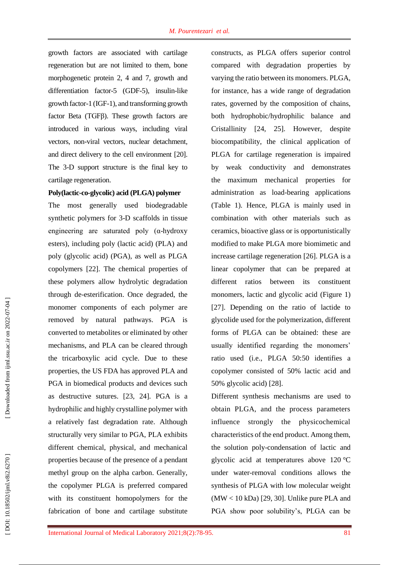growth factors are associated with cartilage regeneration but are not limited to them, bone morphogenetic protein 2, 4 and 7, growth and differentiation factor-5 (GDF-5), insulin-like growth factor -1 (IGF - 1 ), and transforming growth factor Beta (TGFβ ). These growth factors are introduced in various ways, including viral vectors, non -viral vectors, nuclear detachment, and direct delivery to the cell environment [20 ]. The 3 -D support structure is the final key to cartilage regeneration.

#### **Poly(lactic -co -glycolic) acid (PLGA) polymer**

The most generally used biodegradable synthetic polymers for 3 -D scaffolds in tissue engineering are saturated poly (α -hydroxy esters), including poly (lactic acid) (PLA) and poly (glycolic acid) (PGA), as well as PLGA copolymers [22 ]. The chemical properties of these polymers allow hydrolytic degradation through de -esterification. Once degraded, the monomer components of each polymer are removed by natural pathways. PGA is converted to metabolites or eliminated by other mechanisms, and PLA can be cleared through the tricarboxylic acid cycle. Due to these properties, the US FDA has approved PLA and PGA in biomedical products and devices such as destructive sutures. [23, 24 ]. PGA is a hydrophilic and highly crystalline polymer with a relatively fast degradation rate. Although structurally very similar to PGA, PLA exhibits different chemical, physical, and mechanical properties because of the presence of a pendant methyl group on the alpha carbon. Generally, the copolymer PLGA is preferred compared with its constituent homopolymers for the fabrication of bone and cartilage substitute

constructs, as PLGA offers superior control compared with degradation properties by varying the ratio between its monomers. PLGA, for instance, has a wide range of degradation rates, governed by the composition of chains, both hydrophobic/hydrophilic balance and Cristallinity [24, 25 ]. However, despite biocompatibility, the clinical application of PLGA for cartilage regeneration is impaired by weak conductivity and demonstrates the maximum mechanical properties for administration as load -bearing applications (Table 1). Hence, PLGA is mainly used in combination with other materials such as ceramics, bioactive glass or is opportunistically modified to make PLGA more biomimetic and increase cartilage regeneration [26 ]. PLGA is a linear copolymer that can be prepared at different ratios between its constituent monomers, lactic and glycolic acid (Figure 1) [27]. Depending on the ratio of lactide to glycolide used for the polymerization, different forms of PLGA can be obtained: these are usually identified regarding the monomers' ratio used (i.e., PLGA 50:50 identifies a copolymer consisted of 50% lactic acid and 50% glycolic acid) [2 8 ].

Different synthesis mechanisms are used to obtain PLGA, and the process parameters influence strongly the physicochemical characteristics of the end product. Among them, the solution poly -condensation of lactic and glycolic acid at temperatures above 120 °C under water -removal conditions allows the synthesis of PLGA with low molecular weight (MW < 10 kDa) [29, 30 ]. Unlike pure PLA and PGA show poor solubility's, PLGA can be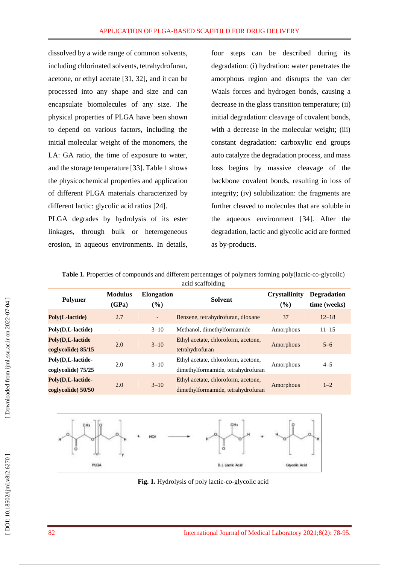dissolved by a wide range of common solvents, including chlorinated solvents, tetrahydrofuran, acetone, or ethyl acetate [31, 32 ] , and it can be processed into any shape and size and can encapsulate biomolecules of any size. The physical properties of PLGA have been shown to depend on various factors, including the initial molecular weight of the monomers, the LA: GA ratio, the time of exposure to water, and the storage temperature [33 ]. Table 1 shows the physicochemical properties and application of different PLGA materials characterized by different lactic: glycolic acid ratios [24 ] .

PLGA degrades by hydrolysis of its ester linkages, through bulk or heterogeneous erosion, in aqueous environments. In details,

four steps can be described during its degradation: (i) hydration: water penetrates the amorphous region and disrupts the van der Waals forces and hydrogen bonds, causing a decrease in the glass transition temperature; (ii) initial degradation: cleavage of covalent bonds, with a decrease in the molecular weight; (iii) constant degradation: carboxylic end groups auto catalyze the degradation process, and mass loss begins by massive cleavage of the backbone covalent bonds, resulting in loss of integrity; (iv) solubilization: the fragments are further cleaved to molecules that are soluble in the aqueous environment [34 ] . After the degradation, lactic and glycolic acid are formed as by -products.

Table 1. Properties of compounds and different percentages of polymers forming poly(lactic-co-glycolic) acid scaffolding

| <b>Polymer</b>                          | <b>Modulus</b><br>(GPa) | <b>Elongation</b><br>$(\%)$ | <b>Solvent</b>                                                            | <b>Crystallinity</b><br>$(\%)$ | <b>Degradation</b><br>time (weeks) |
|-----------------------------------------|-------------------------|-----------------------------|---------------------------------------------------------------------------|--------------------------------|------------------------------------|
| Poly(L-lactide)                         | 2.7                     | $\overline{\phantom{a}}$    | Benzene, tetrahydrofuran, dioxane                                         | 37                             | $12 - 18$                          |
| Poly(D,L-lactide)                       |                         | $3 - 10$                    | Methanol, dimethylformamide                                               | Amorphous                      | $11 - 15$                          |
| Poly(D,L-lactide<br>coglycolide) 85/15  | 2.0                     | $3 - 10$                    | Ethyl acetate, chloroform, acetone,<br>tetrahydrofuran                    | Amorphous                      | $5 - 6$                            |
| Poly(D,L-lactide-<br>coglycolide) 75/25 | 2.0                     | $3 - 10$                    | Ethyl acetate, chloroform, acetone,<br>dimethylformamide, tetrahydrofuran | Amorphous                      | $4 - 5$                            |
| Poly(D,L-lactide-<br>coglycolide) 50/50 | 2.0                     | $3 - 10$                    | Ethyl acetate, chloroform, acetone,<br>dimethylformamide, tetrahydrofuran | Amorphous                      | $1 - 2$                            |



Fig. 1. Hydrolysis of poly lactic-co-glycolic acid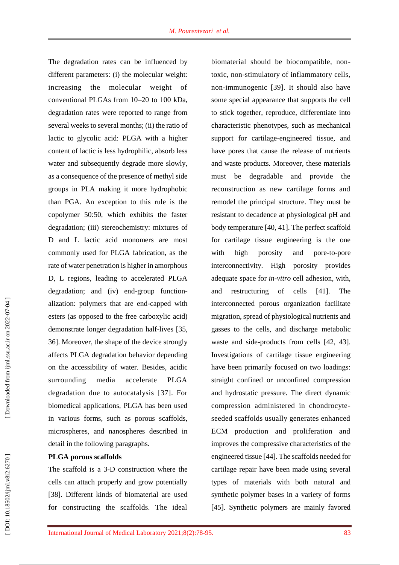The degradation rates can be influenced by different parameters: (i) the molecular weight: increasing the molecular weight of conventional PLGAs from 10 –20 to 100 kDa, degradation rates were reported to range from several weeks to several months; (ii) the ratio of lactic to glycolic acid: PLGA with a higher content of lactic is less hydrophilic, absorb less water and subsequently degrade more slowly, as a consequence of the presence of methyl side groups in PLA making it more hydrophobic than PGA. An exception to this rule is the copolymer 50:50, which exhibits the faster degradation; (iii) stereochemistry: mixtures of D and L lactic acid monomers are most commonly used for PLGA fabrication, as the rate of water penetration is higher in amorphous D, L regions, leading to accelerated PLGA degradation; and (iv) end-group functionalization: polymers that are end -capped with esters (as opposed to the free carboxylic acid) demonstrate longer degradation half -lives [35, 36 ] . Moreover, the shape of the device strongly affects PLGA degradation behavior depending on the accessibility of water. Besides, acidic surrounding media accelerate PLGA degradation due to autocatalysis [37 ]. For biomedical applications, PLGA has been used in various forms, such as porous scaffolds, microspheres, and nanospheres described in detail in the following paragraphs.

#### **PLGA porous scaffolds**

The scaffold is a 3 -D construction where the cells can attach properly and grow potentially [38]. Different kinds of biomaterial are used for constructing the scaffolds. The ideal

biomaterial should be biocompatible, non toxic, non -stimulatory of inflammatory cells, non -immunogenic [39 ]. It should also have some special appearance that supports the cell to stick together, reproduce, differentiate into characteristic phenotypes, such as mechanical support for cartilage -engineered tissue, and have pores that cause the release of nutrients and waste products. Moreover, these materials must be degradable and provide the reconstruction as new cartilage forms and remodel the principal structure. They must be resistant to decadence at physiological pH and body temperature [40, 41 ]. The perfect scaffold for cartilage tissue engineering is the one with high porosity and -to -pore interconnectivity. High porosity provides adequate space for *in -vitro* cell adhesion, w ith, and restructuring of cells  $[41]$ . ]. The interconnected porous organization facilitate migration, spread of physiological nutrients and gasses to the cells, and discharge metabolic waste and side-products from cells [42, 43]. Investigations of cartilage tissue engineering have been primarily focused on two loadings: straight confined or unconfined compression and hydrostatic pressure. The direct dynamic compression administered in chondrocyte seeded scaffolds usually generates enhanced ECM production and proliferation and improves the compressive characteristics of the engineered tissue [44 ]. The scaffolds needed for cartilage repair have been made using several types of materials with both natural and synthetic polymer bases in a variety of forms [45]. Synthetic polymers are mainly favored

Downloaded from ijml.ssu.ac.ir on 2022-07-04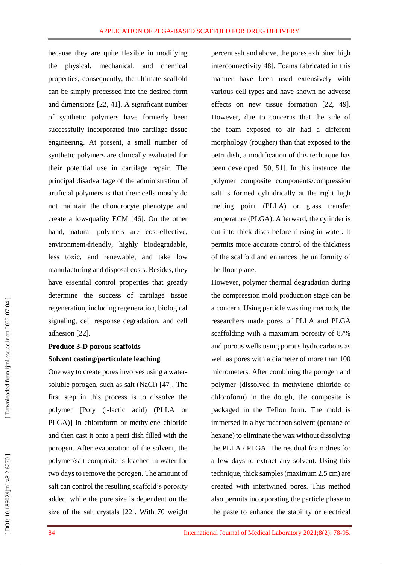because they are quite flexible in modifying the physical, mechanical, and chemical properties; consequently, the ultimate scaffold can be simply processed into the desired form and dimensions [22, 41 ]. A significant number of synthetic polymers have formerly been successfully incorporated into cartilage tissue engineering. At present, a small number of synthetic polymers are clinically evaluated for their potential use in cartilage repair. The principal disadvantage of the administration of artificial polymers is that their cells mostly do not maintain the chondrocyte phenotype and create a low -quality ECM [46 ]. On the other hand, natural polymers are cost -effective, environment -friendly, highly biodegradable, less toxic, and renewable, and take low manufacturing and disposal costs. Besides, they have essential control properties that greatly determine the success of cartilage tissue regeneration, including regeneration, biological signaling, cell response degradation, and cell adhesion [22 ].

#### **Produce 3 -D porous scaffolds**

#### **Solvent casting/particulate leaching**

One way to create pores involves using a water soluble porogen, such as salt (NaCl) [47 ]. The first step in this process is to dissolve the polymer ]Poly (l -lactic acid) (PLLA or PLGA) ] in chloroform or methylene chloride and then cast it onto a petri dish filled with the porogen. After evaporation of the solvent, the polymer/salt composite is leached in water for two days to remove the porogen. The amount of salt can control the resulting scaffold's porosity added, while the pore size is dependent on the size of the salt crystals [22 ]. With 70 weight percent salt and above, the pores exhibited high interconnectivity [48 ]. Foams fabricated in this manner have been used extensively with various cell types and have shown no adverse effects on new tissue formation [22, 49 ]. However, due to concerns that the side of the foam exposed to air had a different morphology (rougher) than that exposed to the petri dish, a modification of this technique has been developed [50, 51 ]. In this instance, the polymer composite components/compression salt is formed cylindrically at the right high melting point (PLLA) or glass transfer temperature (PLGA). Afterward, the cylinder is cut into thick discs before rinsing in water. It permits more accurate control of the thickness of the scaffold and enhances the uniformity of the floor plane.

However, polymer thermal degradation during the compression mold production stage can be a concern. Using particle washing methods, the researchers made pores of PLLA and PLGA scaffolding with a maximum porosity of 87% and porous wells using porous hydrocarbons as well as pores with a diameter of more than 100 micrometers. After combining the porogen and polymer (dissolved in methylene chloride or chloroform) in the dough, the composite is packaged in the Teflon form. The mold is immersed in a hydrocarbon solvent (pentane or hexane) to eliminate the wax without dissolving the PLLA / PLGA. The residual foam dries for a few days to extract any solvent. Using this technique, thick samples (maximum 2.5 cm) are created with intertwined pores. This method also permits incorporating the particle phase to the paste to enhance the stability or electrical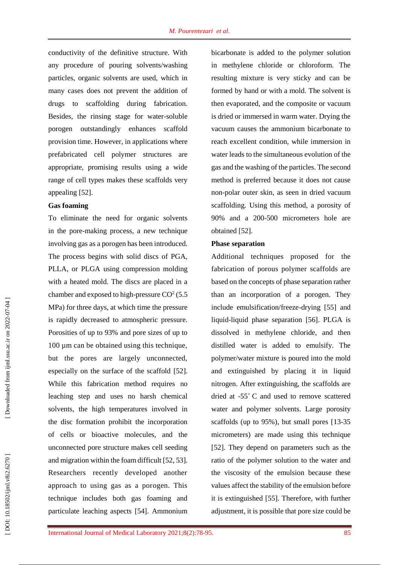conductivity of the definitive structure. With any procedure of pouring solvents/washing particles, organic solvents are used, which in many cases does not prevent the addition of drugs to scaffolding during fabrication. Besides, the rinsing stage for water -soluble porogen outstandingly enhances scaffold provision time. However, in applications where prefabricated cell polymer structures are appropriate, promising results using a wide range of cell types makes these scaffolds very appealing [52 ] .

#### **Gas foaming**

To eliminate the need for organic solvents in the pore -making process, a new technique involving gas as a porogen has been introduced. The process begins with solid discs of PGA, PLLA, or PLGA using compression molding with a heated mold. The discs are placed in a chamber and exposed to high-pressure  $CO<sup>2</sup> (5.5)$ MPa) for three days, at which time the pressure is rapidly decreased to atmospheric pressure. Porosities of up to 93% and pore sizes of up to 100 µm can be obtained using this technique, but the pores are largely unconnected, especially on the surface of the scaffold [52 ]. While this fabrication method requires no leaching step and uses no harsh chemical solvents, the high temperatures involved in the disc formation prohibit the incorporation of cells or bioactive molecules, and the unconnected pore structure makes cell seeding and migration within the foam difficult [52, 53 ]. Researchers recently developed another approach to using gas as a porogen. This technique includes both gas foaming and particulate leaching aspects [54 ]. Ammonium bicarbonate is added to the polymer solution in methylene chloride or chloroform. The resulting mixture is very sticky and can be formed by hand or with a mold. The solvent is then evaporated, and the composite or vacuum is dried or immersed in warm water. Drying the vacuum causes the ammonium bicarbonate to reach excellent condition, while immersion in water leads to the simultaneous evolution of the gas and the washing of the particles. The second method is preferred because it does not cause non -polar outer skin, as seen in dried vacuum scaffolding. Using this method, a porosity of 90% and a 200 -500 micrometers hole are obtained [52 ] .

#### **Phase separation**

Additional techniques proposed for the fabrication of porous polymer scaffolds are based on the concepts of phase separation rather than an incorporation of a porogen. They include emulsification/freeze -drying [55 ] and liquid -liquid phase separation [56 ]. PLGA is dissolved in methylene chloride, and then distilled water is added to emulsify. The polymer/water mixture is poured into the mold and extinguished by placing it in liquid nitrogen. After extinguishing, the scaffolds are dried at -55 ˚ C and used to remove scattered water and polymer solvents. Large porosity scaffolds (up to 95%), but small pores [13 -35 micrometers) are made using this technique [52]. They depend on parameters such as the ratio of the polymer solution to the water and the viscosity of the emulsion because these values affect the stability of the emulsion before it is extinguished [55 ]. Therefore, with further adjustment, it is possible that pore size could be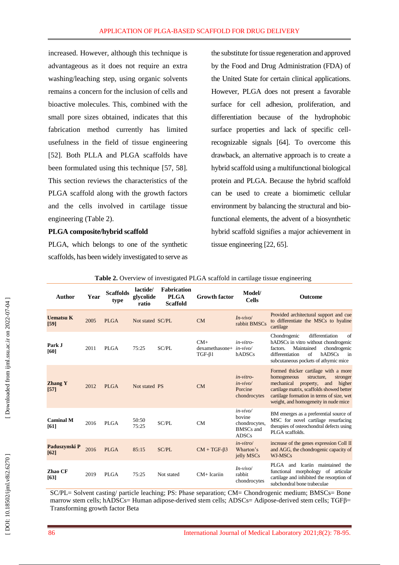increased. However, although this technique is advantageous as it does not require an extra washing/leaching step, using organic solvents remains a concern for the inclusion of cells and bioactive molecules. This, combined with the small pore sizes obtained, indicates that this fabrication method currently has limited usefulness in the field of tissue engineering [52]. Both PLLA and PLGA scaffolds have been formulated using this technique [57, 58 ]. This section reviews the characteristics of the PLGA scaffold along with the growth factors and the cells involved in cartilage tissue engineering (Table 2).

#### **PLGA composite/hybrid scaffold**

PLGA, which belongs to one of the synthetic scaffolds, has been widely investigated to serve as

the substitute for tissue regeneration and approved by the Food and Drug Administration (FDA) of the United State for certain clinical applications. However, PLGA does not present a favorable surface for cell adhesion, proliferation, and differentiation because of the hydrophobic surface properties and lack of specific cell recognizable signals [64]. To overcome this drawback, an alternative approach is to create a hybrid scaffold using a multifunctional biological protein and PLGA. Because the hybrid scaffold can be used to create a biomimetic cellular environment by balancing the structural and bio functional elements, the advent of a biosynthetic hybrid scaffold signifies a major achievement in tissue engineering [22, 65].

| Author                   | Year | <b>Scaffolds</b><br>type | lactide/<br>glycolide<br>ratio | <b>Fabrication</b><br><b>PLGA</b><br><b>Scaffold</b> | <b>Growth factor</b>                                   | Model/<br><b>Cells</b>                                                    | <b>Outcome</b>                                                                                                                                                                                                                                              |
|--------------------------|------|--------------------------|--------------------------------|------------------------------------------------------|--------------------------------------------------------|---------------------------------------------------------------------------|-------------------------------------------------------------------------------------------------------------------------------------------------------------------------------------------------------------------------------------------------------------|
| <b>Uematsu K</b><br>[59] | 2005 | <b>PLGA</b>              | Not stated SC/PL               |                                                      | CM                                                     | $In-vivo/$<br>rabbit BMSCs                                                | Provided architectural support and cue<br>to differentiate the MSCs to hyaline<br>cartilage                                                                                                                                                                 |
| Park J<br>[60]           | 2011 | <b>PLGA</b>              | 75:25                          | SC/PL                                                | $CM+$<br>$d$ examethasone+ $in$ -vivo/<br>$TGF-\beta1$ | in-vitro-<br>hADSCs                                                       | Chondrogenic<br>differentiation<br>of<br>hADSCs in vitro without chondrogenic<br>Maintained<br>chondrogenic<br>factors.<br>$\sigma$ f<br>differentiation<br>hADSCs<br>in<br>subcutaneous pockets of athymic mice                                            |
| <b>Zhang Y</b><br>$[57]$ | 2012 | <b>PLGA</b>              | Not stated PS                  |                                                      | CM                                                     | $in-vitro-$<br>$in-vivo/$<br>Porcine<br>chondrocytes                      | Formed thicker cartilage with a more<br>homogeneous<br>structure,<br>stronger<br>mechanical<br>property,<br>higher<br>and<br>cartilage matrix, scaffolds showed better<br>cartilage formation in terms of size, wet<br>weight, and homogeneity in nude mice |
| <b>Caminal M</b><br>[61] | 2016 | <b>PLGA</b>              | 50:50<br>75:25                 | SC/PL                                                | CM                                                     | $in-vivo/$<br>bovine<br>chondrocytes,<br><b>BMSCs</b> and<br><b>ADSCs</b> | BM emerges as a preferential source of<br>MSC for novel cartilage resurfacing<br>therapies of osteochondral defects using<br>PLGA scaffolds.                                                                                                                |
| Paduszynski P<br>[62]    | 2016 | <b>PLGA</b>              | 85:15                          | SC/PL                                                | $CM + TGF-\beta3$                                      | $in-vitro/$<br>Wharton's<br>jelly MSCs                                    | increase of the genes expression Coll II<br>and AGG, the chondrogenic capacity of<br>WJ-MSCs                                                                                                                                                                |
| Zhao CF<br>[63]          | 2019 | <b>PLGA</b>              | 75:25                          | Not stated                                           | $CM+$ Icariin                                          | $In-vivo/$<br>rabbit<br>chondrocytes                                      | PLGA and Icariin maintained<br>the<br>functional morphology of articular<br>cartilage and inhibited the resorption of<br>subchondral bone trabeculae                                                                                                        |

| Table 2. Overview of investigated PLGA scaffold in cartilage tissue engineering |  |  |  |  |
|---------------------------------------------------------------------------------|--|--|--|--|
|                                                                                 |  |  |  |  |

SC/PL= Solvent casting/ particle leaching; PS: Phase separation; CM= Chondrogenic medium; BMSCs= Bone marrow stem cells; hADSCs= Human adipose-derived stem cells; ADSCs= Adipose-derived stem cells; TGFβ= Transforming growth factor Beta

Downloaded from ijml.ssu.ac.ir on 2022-07-04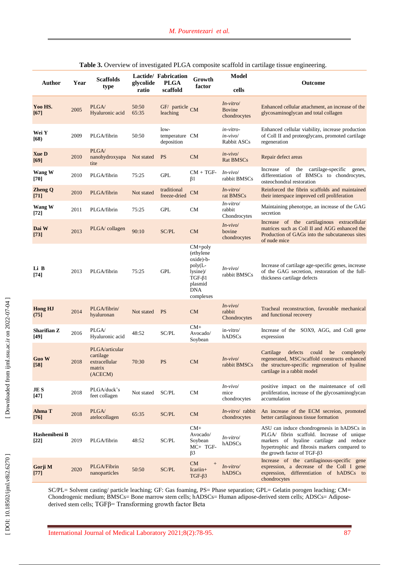| Table 3. Overview of investigated PLGA composite scaffold in cartilage tissue engineering. |
|--------------------------------------------------------------------------------------------|
|                                                                                            |

| <b>Author</b>           | Year | <b>Scaffolds</b><br>type                                          | glycolide<br>ratio | Lactide/ Fabrication<br>PLGA<br>scaffold | Growth<br>factor                                                                                                  | <b>Model</b><br>cells                | Outcome                                                                                                                                                                                                                    |
|-------------------------|------|-------------------------------------------------------------------|--------------------|------------------------------------------|-------------------------------------------------------------------------------------------------------------------|--------------------------------------|----------------------------------------------------------------------------------------------------------------------------------------------------------------------------------------------------------------------------|
| Yoo HS.<br>[67]         | 2005 | PLGA/<br>Hyaluronic acid                                          | 50:50<br>65:35     | GF/ particle<br>leaching                 | <b>CM</b>                                                                                                         | In-vitro/<br>Bovine<br>chondrocytes  | Enhanced cellular attachment, an increase of the<br>glycosaminoglycan and total collagen                                                                                                                                   |
| Wei Y<br>[68]           | 2009 | PLGA/fibrin                                                       | 50:50              | $low-$<br>temperature CM<br>deposition   |                                                                                                                   | in-vitro-<br>in-vivo/<br>Rabbit ASCs | Enhanced cellular viability, increase production<br>of Coll II and proteoglycans, promoted cartilage<br>regeneration                                                                                                       |
| <b>Xue D</b><br>$[69]$  | 2010 | PLGA/<br>nanohydroxyapa<br>tite                                   | Not stated         | <b>PS</b>                                | CM                                                                                                                | $in-vivo/$<br><b>Rat BMSCs</b>       | Repair defect areas                                                                                                                                                                                                        |
| Wang W<br>[70]          | 2010 | PLGA/fibrin                                                       | 75:25              | <b>GPL</b>                               | $CM + TGF-$<br>$\beta$ 1                                                                                          | $In-vivo/$<br>rabbit BMSCs           | the cartilage-specific<br>Increase of<br>genes,<br>differentiation of BMSCs to chondrocytes,<br>osteochondral restoration                                                                                                  |
| <b>Zheng Q</b><br>[71]  | 2010 | PLGA/fibrin                                                       | Not stated         | traditional<br>freeze-dried              | CM                                                                                                                | In-vitro/<br>rat BMSCs               | Reinforced the fibrin scaffolds and maintained<br>their interspace improved cell proliferation                                                                                                                             |
| Wang W<br>[72]          | 2011 | PLGA/fibrin                                                       | 75:25              | <b>GPL</b>                               | <b>CM</b>                                                                                                         | In-vitro/<br>rabbit<br>Chondrocytes  | Maintaining phenotype, an increase of the GAG<br>secretion                                                                                                                                                                 |
| Dai W<br>$[73]$         | 2013 | PLGA/collagen                                                     | 90:10              | SC/PL                                    | CM                                                                                                                | $In-vivo/$<br>bovine<br>chondrocytes | Increase of the cartilaginous extracellular<br>matrices such as Coll II and AGG enhanced the<br>Production of GAGs into the subcutaneous sites<br>of nude mice                                                             |
| Li B<br>$[74]$          | 2013 | PLGA/fibrin                                                       | 75:25              | <b>GPL</b>                               | $CM+poly$<br>(ethylene)<br>oxide)-b-<br>$poly(L-$<br>lysine<br>$TGF-\beta1$<br>plasmid<br><b>DNA</b><br>complexes | $In-vivo/$<br>rabbit BMSCs           | Increase of cartilage age-specific genes, increase<br>of the GAG secretion, restoration of the full-<br>thickness cartilage defects                                                                                        |
| <b>Hong HJ</b><br>(75]  | 2014 | PLGA/fibrin/<br>hyaluronan                                        | Not stated         | <b>PS</b>                                | CM                                                                                                                | $In-vivo/$<br>rabbit<br>Chondrocytes | Tracheal reconstruction, favorable mechanical<br>and functional recovery                                                                                                                                                   |
| Sharifian Z<br>$[49]$   | 2016 | PLGA/<br>Hyaluronic acid                                          | 48:52              | SC/PL                                    | $CM+$<br>Avocado/<br>Soybean                                                                                      | in-vitro/<br>hADSCs                  | Increase of the SOX9, AGG, and Coll gene<br>expression                                                                                                                                                                     |
| <b>Guo W</b><br>[58]    | 2018 | PLGA/articular<br>cartilage<br>extracellular<br>matrix<br>(ACECM) | 70:30              | <b>PS</b>                                | CM                                                                                                                | $In-vivo/$<br>rabbit BMSCs           | defects<br>could<br>Cartilage<br>be<br>completely<br>regenerated, MSC/scaffold constructs enhanced<br>the structure-specific regeneration of hyaline<br>cartilage in a rabbit model                                        |
| <b>JES</b><br>$[47]$    | 2018 | PLGA/duck's<br>feet collagen                                      | Not stated         | SC/PL                                    | CM                                                                                                                | $In-vivo/$<br>mice<br>chondrocytes   | positive impact on the maintenance of cell<br>proliferation, increase of the glycosaminoglycan<br>accumulation                                                                                                             |
| Ahma T<br>[76]          | 2018 | PLGA/<br>atelocollagen                                            | 65:35              | SC/PL                                    | CM                                                                                                                | $In-vitro/$ rabbit<br>chondrocytes   | An increase of the ECM secretion, promoted<br>better cartilaginous tissue formation                                                                                                                                        |
| Hashemibeni B<br>$[22]$ | 2019 | PLGA/fibrin                                                       | 48:52              | SC/PL                                    | $CM+$<br>Avocado/<br>Soybean<br>$MC+TGF-$<br>$\beta$ 3                                                            | $In-vitro/$<br>hADSCs                | ASU can induce chondrogenesis in hADSCs in<br>PLGA/ fibrin scaffold. Increase of unique<br>markers of hyaline cartilage and reduce<br>hypertrophic and fibrosis markers compared to<br>the growth factor of TGF- $\beta$ 3 |
| Gorji M<br>$[77]$       | 2020 | PLGA/Fibrin<br>nanoparticles                                      | 50:50              | SC/PL                                    | CM<br>$^{+}$<br>$Icariin+$<br>$TGF-\beta3$                                                                        | $In-vitro/$<br>hADSCs                | Increase of the cartilaginous-specific gene<br>expression, a decrease of the Coll I gene<br>expression, differentiation of hADSCs to<br>chondrocytes                                                                       |

SC/PL= Solvent casting/ particle leaching; GF: Gas foaming, PS= Phase separation; GPL= Gelatin porogen leaching; CM= Chondrogenic medium; BMSCs= Bone marrow stem cells; hADSCs= Human adipose-derived stem cells; ADSCs= Adiposederived stem cells; TGFβ= Transforming growth factor Beta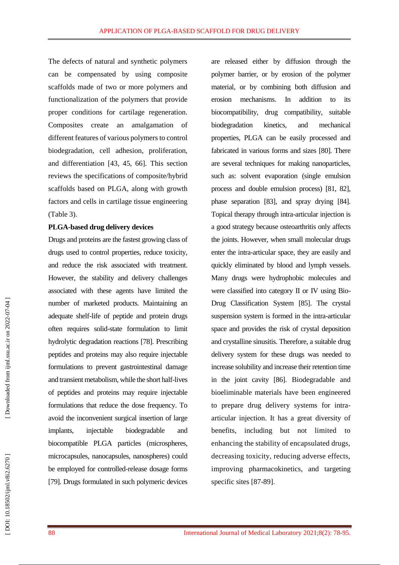The defects of natural and synthetic polymers can be compensated by using composite scaffolds made of two or more polymers and functionalization of the polymers that provide proper conditions for cartilage regeneration. Composites create an amalgamation of different features of various polymers to control biodegradation, cell adhesion, proliferation, and differentiation [43, 45, 66 ]. This section reviews the specifications of composite/hybrid scaffolds based on PLGA, along with growth factors and cells in cartilage tissue engineering (Table 3).

#### **PLGA -based drug delivery devices**

Drugs and proteins are the fastest growing class of drugs used to control properties, reduce toxicity, and reduce the risk associated with treatment. However, the stability and delivery challenges associated with these agents have limited the number of marketed products. Maintaining an adequate shelf-life of peptide and protein drugs often requires solid -state formulation to limit hydrolytic degradation reactions [78 ]. Prescribing peptides and proteins may also require injectable formulations to prevent gastrointestinal damage and transient metabolism, while the short half-lives of peptides and proteins may require injectable formulations that reduce the dose frequency. To avoid the inconvenient surgical insertion of large implants, injectable biodegradable and biocompatible PLGA particles (microspheres, microcapsules, nanocapsules, nanospheres) could be employed for controlled -release dosage forms [79 ]. Drugs formulated in such polymeric devices are released either by diffusion through the polymer barrier, or by erosion of the polymer material, or by combining both diffusion and erosion mechanisms. In addition to its biocompatibility, drug compatibility, suitable biodegradation kinetics, and mechanical properties, PLGA can be easily processed and fabricated in various forms and sizes [80 ]. There are several techniques for making nanoparticles, such as: solvent evaporation (single emulsion process and double emulsion process) [81, 82 ], phase separation [83 ], and spray drying [84 ]. Topical therapy through intra -articular injection is a good strategy because osteoarthritis only affects the joints. However, when small molecular drugs enter the intra -articular space, they are easily and quickly eliminated by blood and lymph vessels. Many drugs were hydrophobic molecules and were classified into category II or IV using Bio - Drug Classification System [85 ]. The crystal suspension system is formed in the intra -articular space and provides the risk of crystal deposition and crystalline sinusitis. Therefore, a suitable drug delivery system for these drugs was needed to increase solubility and increase their retention time in the joint cavity [86 ] . Biodegradable and bioeliminable materials have been engineered to prepare drug delivery systems for intra articular injection. It has a great diversity of benefits, including but not limited to enhancing the stability of encapsulated drugs, decreasing toxicity, reducing adverse effects, improving pharmacokinetics, and targeting specific sites [87 -89].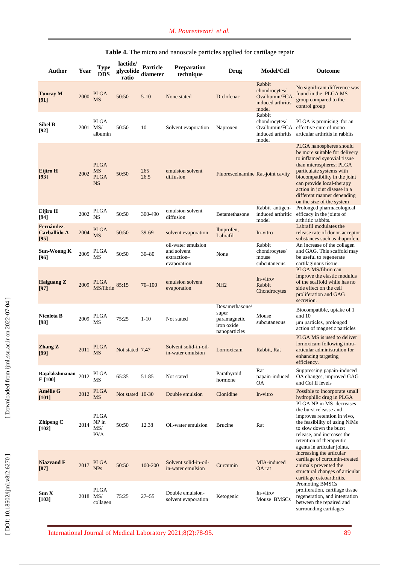| Author                                    | Year     | <b>Type</b><br><b>DDS</b>                     | lactide/<br>glycolide<br>ratio | <b>Particle</b><br>diameter | Preparation<br>technique                                        | Drug                                                                   | Model/Cell                                                              | Outcome                                                                                                                                                                                                                                                                                                 |
|-------------------------------------------|----------|-----------------------------------------------|--------------------------------|-----------------------------|-----------------------------------------------------------------|------------------------------------------------------------------------|-------------------------------------------------------------------------|---------------------------------------------------------------------------------------------------------------------------------------------------------------------------------------------------------------------------------------------------------------------------------------------------------|
| <b>Tuncay M</b><br>[91]                   | 2000     | <b>PLGA</b><br>MS                             | 50:50                          | $5 - 10$                    | None stated                                                     | Diclofenac                                                             | Rabbit<br>chondrocytes/<br>Ovalbumin/FCA-<br>induced arthritis<br>model | No significant difference was<br>found in the PLGA MS<br>group compared to the<br>control group                                                                                                                                                                                                         |
| <b>Sibel B</b><br>[92]                    | 2001 MS/ | <b>PLGA</b><br>albumin                        | 50:50                          | 10                          | Solvent evaporation                                             | Naproxen                                                               | Rabbit<br>chondrocytes/<br>induced arthritis<br>model                   | PLGA is promising for an<br>Ovalbumin/FCA- effective cure of mono-<br>articular arthritis in rabbits                                                                                                                                                                                                    |
| Eijiro H<br>[93]                          | 2002     | <b>PLGA</b><br>MS<br><b>PLGA</b><br><b>NS</b> | 50:50                          | 265<br>26.5                 | emulsion solvent<br>diffusion                                   | Fluoresceinamine Rat-joint cavity                                      |                                                                         | PLGA nanospheres should<br>be more suitable for delivery<br>to inflamed synovial tissue<br>than microspheres; PLGA<br>particulate systems with<br>biocompatibility in the joint<br>can provide local-therapy<br>action in joint disease in a<br>different manner depending<br>on the size of the system |
| Eijiro H<br>[94]                          | 2002     | <b>PLGA</b><br><b>NS</b>                      | 50:50                          | 300-490                     | emulsion solvent<br>diffusion                                   | Betamethasone                                                          | Rabbit antigen-<br>induced arthritic<br>model                           | Prolonged pharmacological<br>efficacy in the joints of<br>arthritic rabbits.                                                                                                                                                                                                                            |
| Fernández-<br><b>Carballido A</b><br>[95] | 2004     | PLGA<br>MS                                    | 50:50                          | 39-69                       | solvent evaporation                                             | Ibuprofen,<br>Labrafil                                                 | In-vitro                                                                | Labrafil modulates the<br>release rate of donor-acceptor<br>substances such as ibuprofen.                                                                                                                                                                                                               |
| <b>Sun-Woong K</b><br>[96]                | 2005     | PLGA<br>MS                                    | 50:50                          | $30 - 80$                   | oil-water emulsion<br>and solvent<br>extraction-<br>evaporation | None                                                                   | Rabbit<br>chondrocytes/<br>mouse<br>subcutaneous                        | An increase of the collagen<br>and GAG. This scaffold may<br>be useful to regenerate<br>cartilaginous tissue.<br>PLGA MS/fibrin can                                                                                                                                                                     |
| <b>Haiguang Z</b><br>$[97]$               | 2009     | <b>PLGA</b><br>MS/fibrin                      | 85:15                          | $70 - 100$                  | emulsion solvent<br>evaporation                                 | NH <sub>2</sub>                                                        | In-vitro/<br>Rabbit<br>Chondrocytes                                     | improve the elastic modulus<br>of the scaffold while has no<br>side effect on the cell<br>proliferation and GAG<br>secretion.                                                                                                                                                                           |
| Nicoleta B<br>[98]                        | 2009     | PLGA<br>MS                                    | 75:25                          | $1 - 10$                    | Not stated                                                      | Dexamethasone/<br>super<br>paramagnetic<br>iron oxide<br>nanoparticles | Mouse<br>subcutaneous                                                   | Biocompatible, uptake of 1<br>and 10<br>um particles, prolonged<br>action of magnetic particles                                                                                                                                                                                                         |
| <b>Zhang Z</b><br>[99]                    | 2011     | PLGA<br><b>MS</b>                             | Not stated 7.47                |                             | Solvent solid-in-oil-<br>in-water emulsion                      | Lornoxicam                                                             | Rabbit, Rat                                                             | PLGA MS is used to deliver<br>lornoxicam following intra-<br>articular administration for<br>enhancing targeting<br>efficiency.                                                                                                                                                                         |
| Rajalakshmanan<br>E [100]                 | 2012     | PLGA<br>MS                                    | 65:35                          | 51-85                       | Not stated                                                      | Parathyroid<br>hormone                                                 | Rat<br>papain-induced<br>ОA                                             | Suppressing papain-induced<br>OA changes, improved GAG<br>and Col II levels                                                                                                                                                                                                                             |
| Amélie G<br>[101]                         | 2012     | <b>PLGA</b><br>MS                             | Not stated 10-30               |                             | Double emulsion                                                 | Clonidine                                                              | In-vitro                                                                | Possible to incorporate small<br>hydrophilic drug in PLGA                                                                                                                                                                                                                                               |
| <b>Zhipeng C</b><br>$[102]$               | 2014     | <b>PLGA</b><br>NP in<br>MS/<br><b>PVA</b>     | 50:50                          | 12.38                       | Oil-water emulsion                                              | <b>Brucine</b>                                                         | Rat                                                                     | PLGA NP in MS decreases<br>the burst releasse and<br>improves retention in vivo,<br>the feasibility of using NiMs<br>to slow down the burst<br>release, and increases the<br>retention of therapeutic<br>agents in articular joints.                                                                    |
| <b>Niazvand F</b><br>$[87]$               | 2017     | <b>PLGA</b><br><b>NPs</b>                     | 50:50                          | 100-200                     | Solvent solid-in-oil-<br>in-water emulsion                      | Curcumin                                                               | MIA-induced<br>OA rat                                                   | Increasing the articular<br>cartilage of curcumin-treated<br>animals prevented the<br>structural changes of articular<br>cartilage osteoarthritis.                                                                                                                                                      |
| Sum X<br>[103]                            | 2018 MS/ | <b>PLGA</b><br>collagen                       | 75:25                          | $27 - 55$                   | Double emulsion-<br>solvent evaporation                         | Ketogenic                                                              | In-vitro/<br>Mouse BMSCs                                                | Promoting BMSCs<br>proliferation, cartilage tissue<br>regeneration, and integration<br>between the repaired and<br>surrounding cartilages                                                                                                                                                               |

#### **Table 4.** The micro and nanoscale particles applied for cartilage repair

International Journal of Medical Laboratory 2021 ; 8 ( 2):78 -95. 89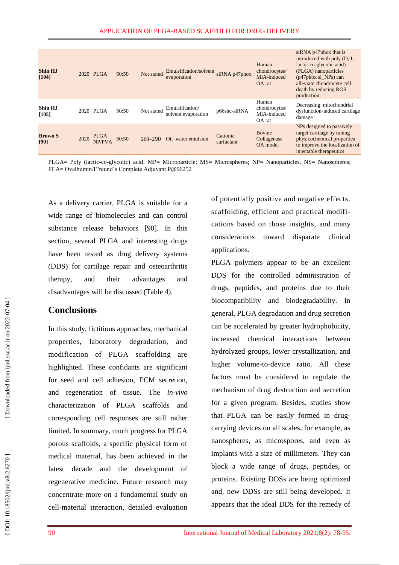| <b>Shin HJ</b><br>[104] |      | 2020 PLGA      | 50:50 | Not stated  | Emulsification/solvent<br>evaporation  | siRNA p47phox          | Human<br>chondrocytes/<br>MIA-induced<br>OA rat | siRNA p47phox that is<br>introduced with poly (D, L-<br>lactic-co-glycolic acid)<br>(PLGA) nanoparticles<br>$(p47phox \, si \, NPs) can$<br>alleviate chondrocyte cell<br>death by reducing ROS<br>production. |
|-------------------------|------|----------------|-------|-------------|----------------------------------------|------------------------|-------------------------------------------------|----------------------------------------------------------------------------------------------------------------------------------------------------------------------------------------------------------------|
| Shin HJ<br>[105]        |      | 2020 PLGA      | 50:50 | Not stated  | Emulsification/<br>solvent evaporation | p66shc-siRNA           | Human<br>chondrocytes/<br>MIA-induced<br>OA rat | Decreasing mitochondrial<br>dysfunction-induced cartilage<br>damage                                                                                                                                            |
| <b>Brown S</b><br>[90]  | 2020 | PLGA<br>NP/PVA | 50:50 | $260 - 290$ | Oil-water emulsion                     | Cationic<br>surfactant | <b>Bovine</b><br>Collagenase<br>OA model        | NPs designed to passively<br>target cartilage by tuning<br>physicochemical properties<br>to improve the localization of<br>injectable therapeutics                                                             |

PLGA= Poly (lactic-co-glycolic) acid; MP= Microparticle; MS= Microspheres; NP= Nanoparticles, NS= Nanospheres; FCA = Ovalbumin/F'reund's Complete Adjuvant P@96252

As a delivery carrier, PLGA is suitable for a wide range of biomolecules and can control substance release behaviors [90]. In this section, several PLGA and interesting drugs have been tested as drug delivery systems (DDS) for cartilage repair and osteoarthritis therapy, and their advantages and disadvantages will be discussed (Table 4).

# **Conclusions**

In this study, fictitious approaches, mechanical properties, laboratory degradation, and modification of PLGA scaffolding are highlighted. These confidants are significant for seed and cell adhesion, ECM secretion, and regeneration of tissue. The *in -vivo* characterization of PLGA scaffolds and corresponding cell responses are still rather limited. In summary, much progress for PLGA porous scaffolds, a specific physical form of medical material, has been achieved in the latest decade and the development of regenerative medicine. Future research may concentrate more on a fundamental study on cell -material interaction, detailed evaluation of potentially positive and negative effects, scaffolding, efficient and practical modifi cations based on those insights, and many considerations toward disparate clinical applications.

PLGA polymers appear to be an excellent DDS for the controlled administration of drugs, peptides, and proteins due to their biocompatibility and biodegradability. In general, PLGA degradation and drug secretion can be accelerated by greater hydrophobicity, increased chemical interactions between hydrolyzed groups, lower crystallization, and higher volume -to -device ratio. All these factors must be considered to regulate the mechanism of drug destruction and secretion for a given program. Besides, studies show that PLGA can be easily formed in drug carrying devices on all scales, for example, as nanospheres, as microspores, and even as implants with a size of millimeters. They can block a wide range of drugs, peptides, or proteins. Existing DDSs are being optimized and, new DDSs are still being developed. It appears that the ideal DDS for the remedy of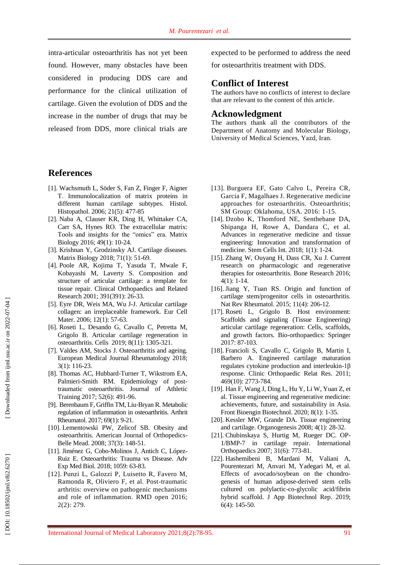intra -articular osteoarthritis has not yet been found. However, many obstacles have been considered in producing DDS care and performance for the clinical utilization of cartilage. Given the evolution of DDS and the increase in the number of drugs that may be released from DDS, more clinical trials are

## **References**

- [1]. Wachsmuth L, Söder S, Fan Z, Finger F, Aigner T. Immunolocalization of matrix proteins in different human cartilage subtypes. Histol . Histopathol . 2006; 21(5): 477 -85
- [ 2]. Naba A, Clauser KR, Ding H, Whittaker CA, Carr SA, Hynes RO. The extracellular matrix: Tools and insights for the "omics" era. Matrix Biology 2016; 49(1) : 10 -24.
- [ 3]. Krishnan Y, Grodzinsky AJ. Cartilage diseases. Matrix Biology 2018; 71(1) : 51 -69.
- [ 4]. Poole AR, Kojima T, Yasuda T, Mwale F, Kobayashi M, Laverty S. Composition and structure of articular cartilage: a template for tissue repair. Clinical Orthopaedics and Related Research 2001; 391(391): 26 -33.
- [ 5]. Eyre DR, Weis MA, Wu J -J. Articular cartilage collagen: an irreplaceable framework. Eur Cell Mater. 2006; 12(1): 57-63.
- [ 6]. Roseti L, Desando G, Cavallo C, Petretta M, Grigolo B. Articular cartilage regeneration in osteoarthritis. Cells 2019; 8(11): 1305 -321.
- [ 7]. Valdes AM, Stocks J. Osteoarthritis and ageing. European Medical Journal Rheumatology 2018; 3(1): 116 -23.
- [ 8]. Thomas AC, Hubbard -Turner T, Wikstrom EA, Palmieri-Smith RM. Epidemiology of posttraumatic osteoarthritis. Journal of Athletic Training 2017; 52(6): 491 -96.
- [ 9]. Berenbaum F, Griffin TM, Liu ‐Bryan R. Metabolic regulation of inflammation in osteoarthritis. Arthrit Rheumatol. 2017; 69(1): 9-21.
- [10]. Lementowski PW, Zelicof SB. Obesity and osteoarthritis. American Journal of Orthopedics - Belle Mead . 2008; 37(3): 148 -51.
- [11]. Jiménez G, Cobo-Molinos J, Antich C, López-Ruiz E. Osteoarthritis: Trauma vs Disease. Adv Exp Med Biol. 2018; 1059: 63 -83 .
- [12]. Punzi L, Galozzi P, Luisetto R, Favero M, Ramonda R, Oliviero F, et al. Post -traumatic arthritis: overview on pathogenic mechanisms and role of inflammation. RMD open 2016; 2(2): 279.

expected to be performed to address the need

for osteoarthritis treatment with DDS.

## **Conflict of Interest**

The authors have no conflicts of interest to declare that are relevant to the content of this article.

### **Acknowledgment**

The authors thank all the contributors of the Department of Anatomy and Molecular Biology, University of Medical Sciences, Yazd, Iran.

- [13]. Burguera EF, Gato Calvo L, Pereira CR, Garcia F, Magalhaes J. Regenerative medicine approaches for osteoarthritis. Osteoarthritis; SM Group: Oklahoma, USA. 2016: 1 -15.
- [14]. Dzobo K, Thomford NE, Senthebane DA, Shipanga H, Rowe A, Dandara C, et al. Advances in regenerative medicine and tissue engineering: Innovation and transformation of medicine. Stem Cells Int . 2018; 1(1): 1 -24.
- [15]. Zhang W, Ouyang H, Dass CR, Xu J. Current research on pharmacologic and regenerative therapies for osteoarthritis. Bone Research 2016; 4(1): 1 -14.
- [16]. Jiang Y, Tuan RS. Origin and function of cartilage stem/progenitor cells in osteoarthritis. Nat Rev Rheumatol. 2015; 11(4): 206 -12.
- [17]. Roseti L, Grigolo B. Host environment: Scaffolds and signaling (Tissue Engineering) articular cartilage regeneration: Cells, scaffolds, and growth factors. Bio -orthopaedics: Springer 2017: 87 -103.
- [18]. Francioli S, Cavallo C, Grigolo B, Martin I, Barbero A. Engineered cartilage maturation regulates cytokine production and interleukin -1β response. Clinic Orthopaedic Relat Res . 2011; 469(10): 2773 -784.
- [19]. Han F, Wang J, Ding L, Hu Y, Li W, Yuan Z, et al. Tissue engineering and regenerative medicine: achievements, future, and sustainability in Asia. Front Bioengin Biotechnol. 2020; 8(1) : 1 -35.
- [20]. Kessler MW, Grande DA. Tissue engineering and cartilage. Organogenesis 2008; 4(1): 28 -32.
- [21]. Chubinskaya S, Hurtig M, Rueger DC. OP 1/BMP -7 in cartilage repair. International Orthopaedics 2007; 31(6): 773 -81.
- [22]. Hashemibeni B, Mardani M, Valiani A, Pourentezari M, Anvari M, Yadegari M, et al. Effects of avocado/soybean on the chondro genesis of human adipose -derived stem cells cultured on polylactic -co -glycolic acid/fibrin hybrid scaffold. J App Biotechnol Rep . 2019; 6(4): 145 -50.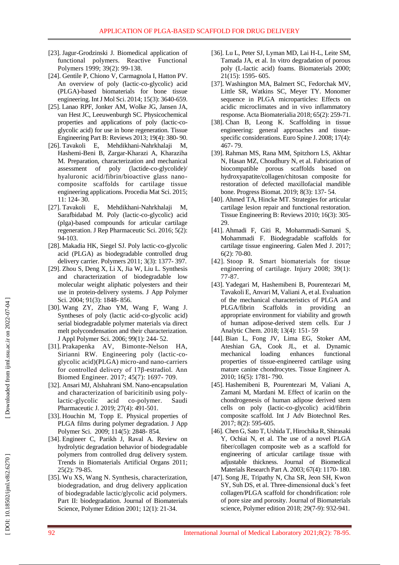- [23]. Jagur -Grodzinski J. Biomedical application of functional polymers. Reactive Functional Polymers 1999; 39(2): 99 -138.
- [24]. Gentile P, Chiono V, Carmagnola I, Hatton PV. An overview of poly (lactic -co -glycolic) acid (PLGA) -based biomaterials for bone tissue engineering. Int J Mol Sci. 2014; 15(3): 3640-659.
- [25]. Lanao RPF, Jonker AM, Wolke JG, Jansen JA, van Hest JC, Leeuwenburgh SC. Physicochemical properties and applications of poly (lactic -co glycolic acid) for use in bone regeneration. Tissue Engineering Part B: Reviews 2013; 19(4): 380 - 90.
- [26]. Tavakoli E, Mehdikhani -Nahrkhalaji M, Hashemi -Beni B, Zargar -Kharazi A, Kharaziha M. Preparation, characterization and mechanical assessment of poly -co -glycolide)/ hyaluronic acid/fibrin/bioactive glass nano composite scaffolds for cartilage tissue engineering applications. Procedia Mat Sci . 2015; 11: 124 - 30.
- [27]. Tavakoli E, Mehdikhani -Nahrkhalaji M, Sarafbidabad M. Poly (lactic -co -glycolic) acid (plga) -based compounds for articular cartilage regeneration. J Rep Pharmaceutic Sci . 2016; 5(2): 94 -103.
- [28]. Makadia HK, Siegel SJ. Poly lactic -co -glycolic acid (PLGA) as biodegradable controlled drug delivery carrier. Polymers 2011; 3(3): 1377 - 397.
- [29]. Zhou S, Deng X, Li X, Jia W, Liu L. Synthesis and characterization of biodegradable low molecular weight aliphatic polyesters and their use in protein ‐delivery systems. J App Polymer Sci. 2004; 91(3): 1848-856.
- [30]. Wang ZY, Zhao YM, Wang F, Wang J. Syntheses of poly (lactic acid-co-glycolic acid) serial biodegradable polymer materials via direct melt polycondensation and their characterization. J Appl Polymer Sci. 2006; 99(1): 244- 52.
- [31]. Prakapenka AV, Bimonte -Nelson HA, Sirianni RW. Engineering poly (lactic -co glycolic acid)(PLGA) micro -and nano -carriers for controlled delivery of 17β -estradiol. Ann Biomed Engineer. 2017; 45(7): 1697 - 709.
- [32]. Ansari MJ, Alshahrani SM. Nano -encapsulation and characterization of baricitinib using poly lactic -glycolic acid co co-polymer. Saudi Pharmaceutic J. 2019; 27(4): 491 -501.
- [33]. Houchin M, Topp E. Physical properties of PLGA films during polymer degradation. J App Polymer Sci. 2009; 114(5): 2848-854.
- [34]. Engineer C, Parikh J, Raval A. Review on hydrolytic degradation behavior of biodegradable polymers from controlled drug delivery system. Trends in Biomaterials Artificial Organs 2011; 25(2): 79 -85.
- [35]. Wu XS, Wang N. Synthesis, characterization, biodegradation, and drug delivery application of biodegradable lactic/glycolic acid polymers. Part II: biodegradation. Journal of Biomaterials Science, Polymer Edition 2001; 12(1): 21 -34.
- [36]. Lu L, Peter SJ, Lyman MD, Lai H -L, Leite SM, Tamada JA, et al. In vitro degradation of porous poly (L -lactic acid) foams. Biomaterials 2000; 21(15): 1595 - 605.
- [37]. Washington MA, Balmert SC, Fedorchak MV, Little SR, Watkins SC, Meyer TY. Monomer sequence in PLGA microparticles: Effects on acidic microclimates and in vivo inflammatory response. Acta Biomaterialia 2018; 65(2) : 259 -71.
- [38]. Chan B, Leong K. Scaffolding in tissue engineering: general approaches and tissue specific considerations. Euro Spine J. 2008; 17(4): 467 - 79.
- [39]. Rahman MS, Rana MM, Spitzhorn LS, Akhtar N, Hasan MZ, Choudhury N, et al. Fabrication of biocompatible porous scaffolds based on hydroxyapatite/collagen/chitosan composite for restoration of defected maxillofacial mandible bone. Progress Biomat . 2019; 8(3): 137 - 54.
- [40]. Ahmed TA, Hincke MT. Strategies for articular cartilage lesion repair and functional restoration. Tissue Engineering B: Reviews 2010; 16(3): 305 - 29.
- [41]. Ahmadi F, Giti R, Mohammadi -Samani S, Mohammadi F. Biodegradable scaffolds for cartilage tissue engineering. Galen Med J . 2017; 6(2): 70 -80.
- [42]. Stoop R. Smart biomaterials for tissue engineering of cartilage. Injury 2008; 39(1): 77 -87.
- [43]. Yadegari M, Hashemibeni B, Pourentezari M, Tavakoli E, Anvari M, Valiani A, et al. Evaluation of the mechanical characteristics of PLGA and PLGA/fibrin Scaffolds in providing an appropriate environment for viability and growth of human adipose -derived stem cells. Eur J Analytic Chem . 2018; 13(4): 151 - 59
- [44]. Bian L, Fong JV, Lima EG, Stoker AM, Ateshian GA, Cook JL, et al. Dynamic mechanical loading enhances functional properties of tissue -engineered cartilage using mature canine chondrocytes. Tissue Engineer A . 2010; 16(5): 1781 - 790.
- [45]. Hashemibeni B, Pourentezari M, Valiani A, Zamani M, Mardani M. Effect of icariin on the chondrogenesis of human adipose derived stem cells on poly (lactic -co -glycolic) acid/fibrin composite scaffold. Int J Adv Biotechnol Res . 2017; 8(2): 595 -605.
- [46]. Chen G, Sato T, Ushida T, Hirochika R, Shirasaki Y, Ochiai N, et al. The use of a novel PLGA fiber/collagen composite web as a scaffold for engineering of articular cartilage tissue with adjustable thickness. Journal of Biomedical Materials Research Part A . 2003; 67(4): 1170 - 180.
- [47]. Song JE, Tripathy N, Cha SR, Jeon SH, Kwon SY, Suh DS, et al. Three -dimensional duck's feet collagen/PLGA scaffold for chondrification: role of pore size and porosity. Journal of Biomaterials science, Polymer edition 2018; 29(7-9): 932-941.

DOI: 10.18502/ijml.v8i2.6270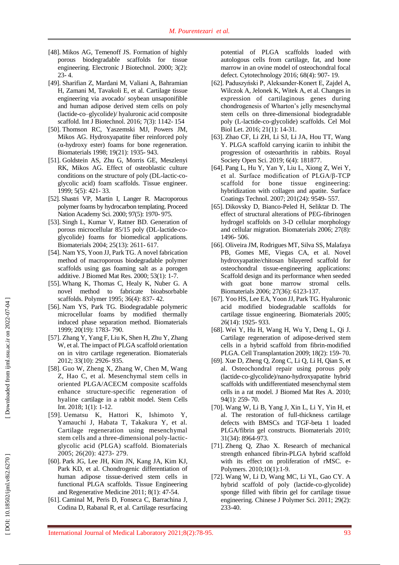- [48]. Mikos AG, Temenoff JS. Formation of highly porous biodegradable scaffolds for tissue engineering. Electronic J Biotechnol . 2000; 3(2):  $23 - 4.$
- [49]. Sharifian Z, Mardani M, Valiani A, Bahramian H, Zamani M, Tavakoli E, et al. Cartilage tissue engineering via avocado/ soybean unsaponifible and human adipose derived stem cells on poly (lactide -co –glycolide)/ hyaluronic acid composite scaffold. Int J Biotechnol . 2016; 7(3): 1142 - 154
- [50]. Thomson RC, Yaszemski MJ, Powers JM, Mikos AG. Hydroxyapatite fiber reinforced poly (α -hydroxy ester) foams for bone regeneration. Biomaterials 1998; 19(21): 1935 - 943.
- [51]. Goldstein AS, Zhu G, Morris GE, Meszlenyi RK, Mikos AG. Effect of osteoblastic culture conditions on the structure of poly (DL -lactic -co glycolic acid) foam scaffolds. Tissue engineer . 1999; 5(5): 421 - 33.
- [52]. Shastri VP, Martin I, Langer R. Macroporous polymer foams by hydrocarbon templating. Proceed Nation Academy Sci . 2000; 97(5): 1970 - 975.
- [53]. Singh L, Kumar V, Ratner BD. Generation of porous microcellular 85/15 poly (DL-lactide-coglycolide) foams for biomedical applications. Biomaterials 2004; 25(13): 2611 - 617.
- [54]. Nam YS, Yoon JJ, Park TG. A novel fabrication method of macroporous biodegradable polymer scaffolds using gas foaming salt as a porogen additive. J Biomed Mat Res . 2000; 53(1): 1 -7.
- [55]. Whang K, Thomas C, Healy K, Nuber G. A novel method to fabricate bioabsorbable scaffolds. Polymer 1995; 36(4): 837 - 42.
- [56]. Nam YS, Park TG. Biodegradable polymeric microcellular foams by modified thermally induced phase separation method. Biomaterials 1999; 20(19): 1783 - 790.
- [57]. Zhang Y, Yang F, Liu K, Shen H, Zhu Y, Zhang W, et al. The impact of PLGA scaffold orientation on in vitro cartilage regeneration. Biomaterials 2012; 33(10): 2926 - 935.
- [58]. Guo W, Zheng X, Zhang W, Chen M, Wang Z, Hao C, et al. Mesenchymal stem cells in oriented PLGA/ACECM composite scaffolds enhance structure -specific regeneration of hyaline cartilage in a rabbit model. Stem Cells Int. 2018; 1(1): 1-12.
- [59]. Uematsu K, Hattori K, Ishimoto Y, Yamauchi J, Habata T, Takakura Y, et al. Cartilage regeneration using mesenchymal stem cells and a three -dimensional poly -lactic glycolic acid (PLGA) scaffold. Biomaterials 2005; 26(20): 4273 - 279.
- [60]. Park JG, Lee JH, Kim JN, Kang JA, Kim KJ, Park KD, et al. Chondrogenic differentiation of human adipose tissue -derived stem cells in functional PLGA scaffolds. Tissue Engineering and Regenerative Medicine 2011; 8(1): 47 -54.
- [61]. Caminal M, Peris D, Fonseca C, Barrachina J, Codina D, Rabanal R, et al. Cartilage resurfacing

potential of PLGA scaffolds loaded with autologous cells from cartilage, fat, and bone marrow in an ovine model of osteochondral focal defect. Cytotechnology 2016; 68(4): 907 - 19.

- [62]. Paduszyński P, Aleksander -Konert E, Zajdel A, Wilczok A, Jelonek K, Witek A, et al. Changes in expression of cartilaginous genes during chondrogenesis of Wharton's jelly mesenchymal stem cells on three -dimensional biodegradable poly (L -lactide -co -glycolide) scaffolds. Cel Mol Biol Let . 2016; 21(1): 14 -31.
- [63]. Zhao CF, Li ZH, Li SJ, Li JA, Hou TT, Wang Y. PLGA scaffold carrying icariin to inhibit the progression of osteoarthritis in rabbits. Royal Society Open Sci . 2019; 6(4): 181877.
- [64]. Pang L, Hu Y, Yan Y, Liu L, Xiong Z, Wei Y, et al. Surface modification of PLGA/β -TCP scaffold for bone tissue engineering: hybridization with collagen and apatite. Surface Coatings Technol . 2007; 201(24): 9549 - 557.
- [65]. Dikovsky D, Bianco -Peled H, Seliktar D. The effect of structural alterations of PE G -fibrinogen hydrogel scaffolds on 3 -D cellular morphology and cellular migration. Biomaterials 2006; 27(8): 1496 - 506.
- [66]. Oliveira JM, Rodrigues MT, Silva SS, Malafaya PB, Gomes ME, Viegas CA, et al. Novel hydroxyapatite/chitosan bilayered scaffold for osteochondral tissue -engineering applications: Scaffold design and its performance when seeded with goat bone marrow stromal cells. Biomaterials 2006; 27(36): 6123 -137.
- [67]. Yoo HS, Lee EA, Yoon JJ, Park TG. Hyaluronic acid modified biodegradable scaffolds for cartilage tissue engineering. Biomaterials 2005; 26(14): 1925 - 933.
- [68]. Wei Y, Hu H, Wang H, Wu Y, Deng L, Qi J. Cartilage regeneration of adipose -derived stem cells in a hybrid scaffold from fibrin -modified PLGA. Cell Transplantation 2009; 18(2): 159 - 70.
- [69]. Xue D, Zheng Q, Zong C, Li Q, Li H, Qian S, et al. Osteochondral repair using porous poly (lactide ‐co ‐glycolide)/nano ‐hydroxyapatite hybrid scaffolds with undifferentiated mesenchymal stem cells in a rat model. J Biomed Mat Res A . 2010; 94(1): 259 - 70.
- [70]. Wang W, Li B, Yang J, Xin L, Li Y, Yin H, et al. The restoration of full -thickness cartilage defects with BMSCs and TGF -beta 1 loaded PLGA/fibrin gel constructs. Biomaterials 2010; 31(34): 8964 -973.
- [71]. Zheng Q, Zhao X. Research of mechanical strength enhanced fibrin -PLGA hybrid scaffold with its effect on proliferation of rMSC. e-Polymers. 2010;10(1): 1 -9.
- [72]. Wang W, Li D, Wang MC, Li YL, Gao CY. A hybrid scaffold of poly (lactide -co -glycolide) sponge filled with fibrin gel for cartilage tissue engineering. Chinese J Polymer Sci. 2011; 29(2): 233 -40.

DOI: 10.18502/ijml.v8i2.6270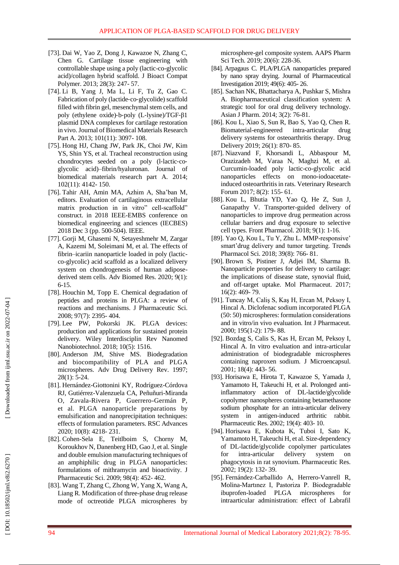- [73]. Dai W, Yao Z, Dong J, Kawazoe N, Zhang C, Chen G. Cartilage tissue engineering with controllable shape using a poly (lactic -co -glycolic acid)/collagen hybrid scaffold. J Bioact Compat Polymer. 2013; 28(3): 247-57.
- [74]. Li B, Yang J, Ma L, Li F, Tu Z, Gao C. Fabrication of poly (lactide ‐co ‐glycolide) scaffold filled with fibrin gel, mesenchymal stem cells, and poly (ethylene oxide)-b-poly (L-lysine)/TGF-β1 plasmid DNA complexes for cartilage restoration in vivo. Journal of Biomedical Materials Research Part A. 2013; 101(11): 3097-108.
- [75]. Hong HJ, Chang JW, Park JK, Choi JW, Kim YS, Shin YS, et al. Tracheal reconstruction using chondrocytes seeded on a poly (l-lactic-coglycolic acid) –fibrin/hyaluronan. Journal of biomedical materials research part A . 2014; 102(11): 4142 - 150.
- [76]. Tahir A H, Amin M A, Azhim A, Sha'ban M, editors. Evaluation of cartilaginous extracellular matrix production in in vitro" cell -scaffold" construct. in 2018 IEEE -EMBS conference on biomedical engineering and sciences (IECBES) 2018 Dec 3 (pp. 500-504). IEEE.
- [77]. Gorji M, Ghasemi N, Setayeshmehr M, Zargar A, Kazemi M, Soleimani M, et al. The effects of fibrin–icariin nanoparticle loaded in poly (lactic co -glycolic) acid scaffold as a localized delivery system on chondrogenesis of human adipose derived stem cells. Adv Biomed Res . 2020; 9(1): 6 -15 .
- [78]. Houchin M, Topp E. Chemical degradation of peptides and proteins in PLGA: a review of reactions and mechanisms. J Pharmaceutic Sci . 2008; 97(7): 2395 - 404.
- [79]. Lee PW, Pokorski JK. PLGA devices: production and applications for sustained protein delivery. Wiley Interdisciplin Rev Nanomed Nanobiotechnol. 2018; 10(5): 1516.
- [80]. Anderson JM, Shive MS. Biodegradation and biocompatibility of PLA and PLGA microspheres. Adv Drug Delivery Rev . 1997; 28(1): 5 -24.
- [81]. Hernández -Giottonini KY, Rodríguez -Córdova RJ, Gutiérrez -Valenzuela CA, Peñuñuri -Miranda O, Zavala -Rivera P, Guerrero -Germán P, et al. PLGA nanoparticle preparations by emulsification and nanoprecipitation techniques: effects of formulation parameters. RSC Advances 2020; 10(8): 4218 - 231.
- [82]. Cohen -Sela E, Teitlboim S, Chorny M, Koroukhov N, Danenberg HD, Gao J, et al. Single and double emulsion manufacturing techniques of an amphiphilic drug in PLGA nanoparticles: formulations of mithramycin and bioactivity. J Pharmaceutic Sci . 2009; 98(4): 452 - 462.
- [83]. Wang T, Zhang C, Zhong W, Yang X, Wang A, Liang R. Modification of three -phase drug release mode of octreotide PLGA microspheres by

microsphere -gel composite system. AAPS Pharm Sci Tech. 2019; 20(6): 228-36.

- [84]. Arpagaus C. PLA/PLGA nanoparticles prepared by nano spray drying. Journal of Pharmaceutical Investigation 2019; 49(6) : 405 - 26.
- [85]. Sachan NK, Bhattacharya A, Pushkar S, Mishra A. Biopharmaceutical classification system: A strategic tool for oral drug delivery technology. Asian J Pharm. 2014; 3(2): 76 -81.
- [86]. Kou L, Xiao S, Sun R, Bao S, Yao Q, Chen R. Biomaterial -engineered intra intra-articular drug delivery systems for osteoarthritis therapy. Drug Delivery 2019; 26(1): 870- 85.
- [87]. Niazvand F, Khorsandi L, Abbaspour M, Orazizadeh M, Varaa N, Maghzi M, et al. Curcumin -loaded poly lactic -co -glycolic acid nanoparticles effects on mono -iodoacetate induced osteoarthritis in rats. Veterinary Research Forum 2017; 8(2): 155-61.
- [88]. Kou L, Bhutia YD, Yao Q, He Z, Sun J, Ganapathy V. Transporter -guided delivery of nanoparticles to improve drug permeation across cellular barriers and drug exposure to selective cell types. Front Pharmacol . 2018; 9(1) : 1 -16.
- [89]. Yao Q, Kou L, Tu Y, Zhu L. MMP -responsive' smart'drug delivery and tumor targeting. Trends Pharmacol Sci. 2018; 39(8): 766-81.
- [90]. Brown S, Pistiner J, Adjei IM, Sharma B. Nanoparticle properties for delivery to cartilage: the implications of disease state, synovial fluid, and off-target uptake. Mol Pharmaceut . 2017; 16(2): 469 - 79.
- [91]. Tuncay M, Caliş S, Kaş H, Ercan M, Peksoy I, Hincal A. Diclofenac sodium incorporated PLGA (50: 50) microspheres: formulation considerations and in vitro/in vivo evaluation. Int J Pharmaceut . 2000; 195(1 -2): 179 - 88.
- [92]. Bozdag S, Calis S, Kas H, Ercan M, Peksoy I, Hincal A. In vitro evaluation and intra -articular administration of biodegradable microspheres containing naproxen sodium. J Microencapsul . 2001; 18(4): 443 - 56.
- [93]. Horisawa E, Hirota T, Kawazoe S, Yamada J, Yamamoto H, Takeuchi H, et al. Prolonged anti inflammatory action of DL -lactide/glycolide copolymer nanospheres containing betamethasone sodium phosphate for an intra -articular delivery system in antigen -induced arthritic rabbit. Pharmaceutic Res . 2002; 19(4): 403 - 10.
- [94]. Horisawa E, Kubota K, Tuboi I, Sato K, Yamamoto H, Takeuchi H, et al. Size -dependency of DL -lactide/glycolide copolymer particulates for intra -articular delivery system on phagocytosis in rat synovium. Pharmaceutic Res . 2002; 19(2): 132 - 39.
- [95]. Fernández -Carballido A, Herrero -Vanrell R, Molina -Martınez I, Pastoriza P. Biodegradable ibuprofen -loaded PLGA microspheres for intraarticular administration: effect of Labrafil